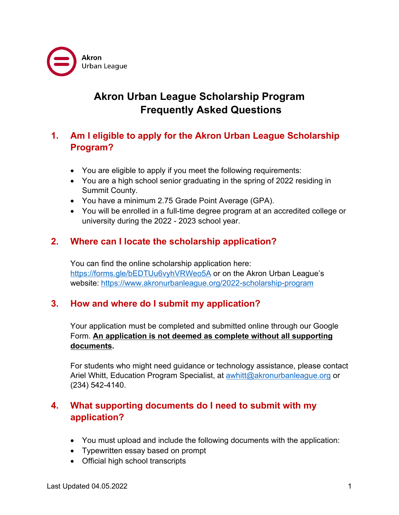

# **Akron Urban League Scholarship Program Frequently Asked Questions**

# **1. Am I eligible to apply for the Akron Urban League Scholarship Program?**

- You are eligible to apply if you meet the following requirements:
- You are a high school senior graduating in the spring of 2022 residing in Summit County.
- You have a minimum 2.75 Grade Point Average (GPA).
- You will be enrolled in a full-time degree program at an accredited college or university during the 2022 - 2023 school year.

# **2. Where can I locate the scholarship application?**

You can find the online scholarship application here: <https://forms.gle/bEDTUu6vyhVRWeo5A> or on the Akron Urban League's website: <https://www.akronurbanleague.org/2022-scholarship-program>

# **3. How and where do I submit my application?**

Your application must be completed and submitted online through our Google Form. **An application is not deemed as complete without all supporting documents.** 

For students who might need guidance or technology assistance, please contact Ariel Whitt, Education Program Specialist, at [awhitt@akronurbanleague.org](mailto:awhitt@akronurbanleague.org) or (234) 542-4140.

# **4. What supporting documents do I need to submit with my application?**

- You must upload and include the following documents with the application:
- Typewritten essay based on prompt
- Official high school transcripts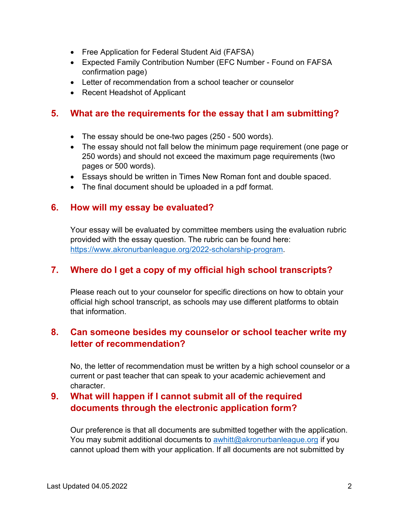- Free Application for Federal Student Aid (FAFSA)
- Expected Family Contribution Number (EFC Number Found on FAFSA confirmation page)
- Letter of recommendation from a school teacher or counselor
- Recent Headshot of Applicant

### **5. What are the requirements for the essay that I am submitting?**

- The essay should be one-two pages (250 500 words).
- The essay should not fall below the minimum page requirement (one page or 250 words) and should not exceed the maximum page requirements (two pages or 500 words).
- Essays should be written in Times New Roman font and double spaced.
- The final document should be uploaded in a pdf format.

#### **6. How will my essay be evaluated?**

Your essay will be evaluated by committee members using the evaluation rubric provided with the essay question. The rubric can be found here: [https://www.akronurbanleague.org/2022-scholarship-program.](https://www.akronurbanleague.org/2022-scholarship-program)

### **7. Where do I get a copy of my official high school transcripts?**

Please reach out to your counselor for specific directions on how to obtain your official high school transcript, as schools may use different platforms to obtain that information.

### **8. Can someone besides my counselor or school teacher write my letter of recommendation?**

No, the letter of recommendation must be written by a high school counselor or a current or past teacher that can speak to your academic achievement and character.

# **9. What will happen if I cannot submit all of the required documents through the electronic application form?**

Our preference is that all documents are submitted together with the application. You may submit additional documents to [awhitt@akronurbanleague.org](mailto:awhitt@akronurbanleague.org) if you cannot upload them with your application. If all documents are not submitted by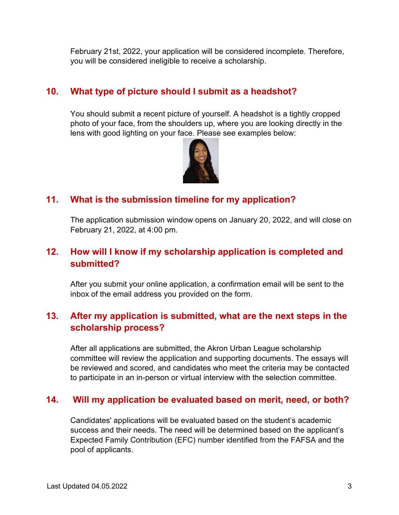February 21st, 2022, your application will be considered incomplete. Therefore, you will be considered ineligible to receive a scholarship.

# **10. What type of picture should I submit as a headshot?**

You should submit a recent picture of yourself. A headshot is a tightly cropped photo of your face, from the shoulders up, where you are looking directly in the lens with good lighting on your face. Please see examples below:



# **11. What is the submission timeline for my application?**

The application submission window opens on January 20, 2022, and will close on February 21, 2022, at 4:00 pm.

# **12. How will I know if my scholarship application is completed and submitted?**

After you submit your online application, a confirmation email will be sent to the inbox of the email address you provided on the form.

# **13. After my application is submitted, what are the next steps in the scholarship process?**

After all applications are submitted, the Akron Urban League scholarship committee will review the application and supporting documents. The essays will be reviewed and scored, and candidates who meet the criteria may be contacted to participate in an in-person or virtual interview with the selection committee.

# **14. Will my application be evaluated based on merit, need, or both?**

Candidates' applications will be evaluated based on the student's academic success and their needs. The need will be determined based on the applicant's Expected Family Contribution (EFC) number identified from the FAFSA and the pool of applicants.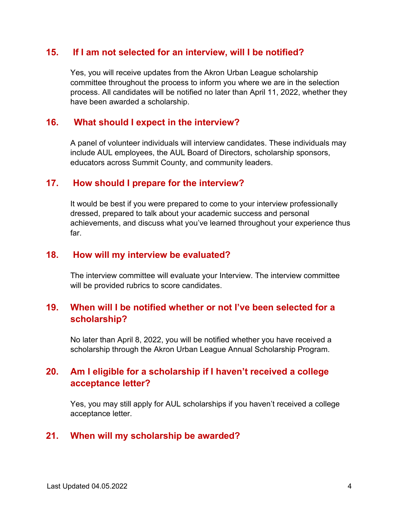#### **15. If I am not selected for an interview, will I be notified?**

Yes, you will receive updates from the Akron Urban League scholarship committee throughout the process to inform you where we are in the selection process. All candidates will be notified no later than April 11, 2022, whether they have been awarded a scholarship.

#### **16. What should I expect in the interview?**

A panel of volunteer individuals will interview candidates. These individuals may include AUL employees, the AUL Board of Directors, scholarship sponsors, educators across Summit County, and community leaders.

#### **17. How should I prepare for the interview?**

It would be best if you were prepared to come to your interview professionally dressed, prepared to talk about your academic success and personal achievements, and discuss what you've learned throughout your experience thus far.

#### **18. How will my interview be evaluated?**

The interview committee will evaluate your Interview. The interview committee will be provided rubrics to score candidates.

### **19. When will I be notified whether or not I've been selected for a scholarship?**

No later than April 8, 2022, you will be notified whether you have received a scholarship through the Akron Urban League Annual Scholarship Program.

### **20. Am I eligible for a scholarship if I haven't received a college acceptance letter?**

Yes, you may still apply for AUL scholarships if you haven't received a college acceptance letter.

#### **21. When will my scholarship be awarded?**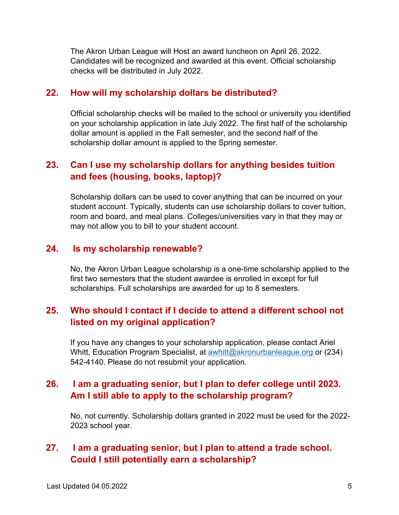The Akron Urban League will Host an award luncheon on April 26, 2022. Candidates will be recognized and awarded at this event. Official scholarship checks will be distributed in July 2022.

#### **22. How will my scholarship dollars be distributed?**

Official scholarship checks will be mailed to the school or university you identified on your scholarship application in late July 2022. The first half of the scholarship dollar amount is applied in the Fall semester, and the second half of the scholarship dollar amount is applied to the Spring semester.

# **23. Can I use my scholarship dollars for anything besides tuition and fees (housing, books, laptop)?**

Scholarship dollars can be used to cover anything that can be incurred on your student account. Typically, students can use scholarship dollars to cover tuition, room and board, and meal plans. Colleges/universities vary in that they may or may not allow you to bill to your student account.

#### **24. Is my scholarship renewable?**

No, the Akron Urban League scholarship is a one-time scholarship applied to the first two semesters that the student awardee is enrolled in except for full scholarships. Full scholarships are awarded for up to 8 semesters.

### **25. Who should I contact if I decide to attend a different school not listed on my original application?**

If you have any changes to your scholarship application, please contact Ariel Whitt, Education Program Specialist, at [awhitt@akronurbanleague.org](mailto:awhitt@akronurbanleague.org) or (234) 542-4140. Please do not resubmit your application.

### **26. I am a graduating senior, but I plan to defer college until 2023. Am I still able to apply to the scholarship program?**

No, not currently. Scholarship dollars granted in 2022 must be used for the 2022- 2023 school year.

## **27. I am a graduating senior, but I plan to attend a trade school. Could I still potentially earn a scholarship?**